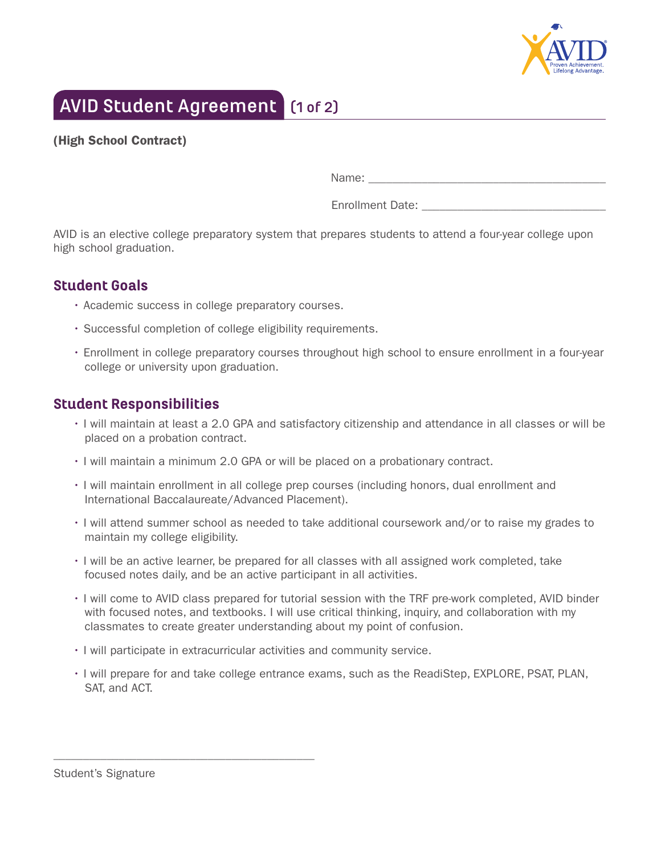

## AVID Student Agreement (1 of 2)

(High School Contract)

Name:  $\Box$ 

Enrollment Date:

AVID is an elective college preparatory system that prepares students to attend a four-year college upon high school graduation.

### Student Goals

- Academic success in college preparatory courses.
- Successful completion of college eligibility requirements.
- Enrollment in college preparatory courses throughout high school to ensure enrollment in a four-year college or university upon graduation.

### Student Responsibilities

- I will maintain at least a 2.0 GPA and satisfactory citizenship and attendance in all classes or will be placed on a probation contract.
- I will maintain a minimum 2.0 GPA or will be placed on a probationary contract.
- I will maintain enrollment in all college prep courses (including honors, dual enrollment and International Baccalaureate/Advanced Placement).
- I will attend summer school as needed to take additional coursework and/or to raise my grades to maintain my college eligibility.
- I will be an active learner, be prepared for all classes with all assigned work completed, take focused notes daily, and be an active participant in all activities.
- I will come to AVID class prepared for tutorial session with the TRF pre-work completed, AVID binder with focused notes, and textbooks. I will use critical thinking, inquiry, and collaboration with my classmates to create greater understanding about my point of confusion.
- I will participate in extracurricular activities and community service.
- I will prepare for and take college entrance exams, such as the ReadiStep, EXPLORE, PSAT, PLAN, SAT, and ACT.

\_\_\_\_\_\_\_\_\_\_\_\_\_\_\_\_\_\_\_\_\_\_\_\_\_\_\_\_\_\_\_\_\_\_\_\_\_\_\_\_\_\_\_\_